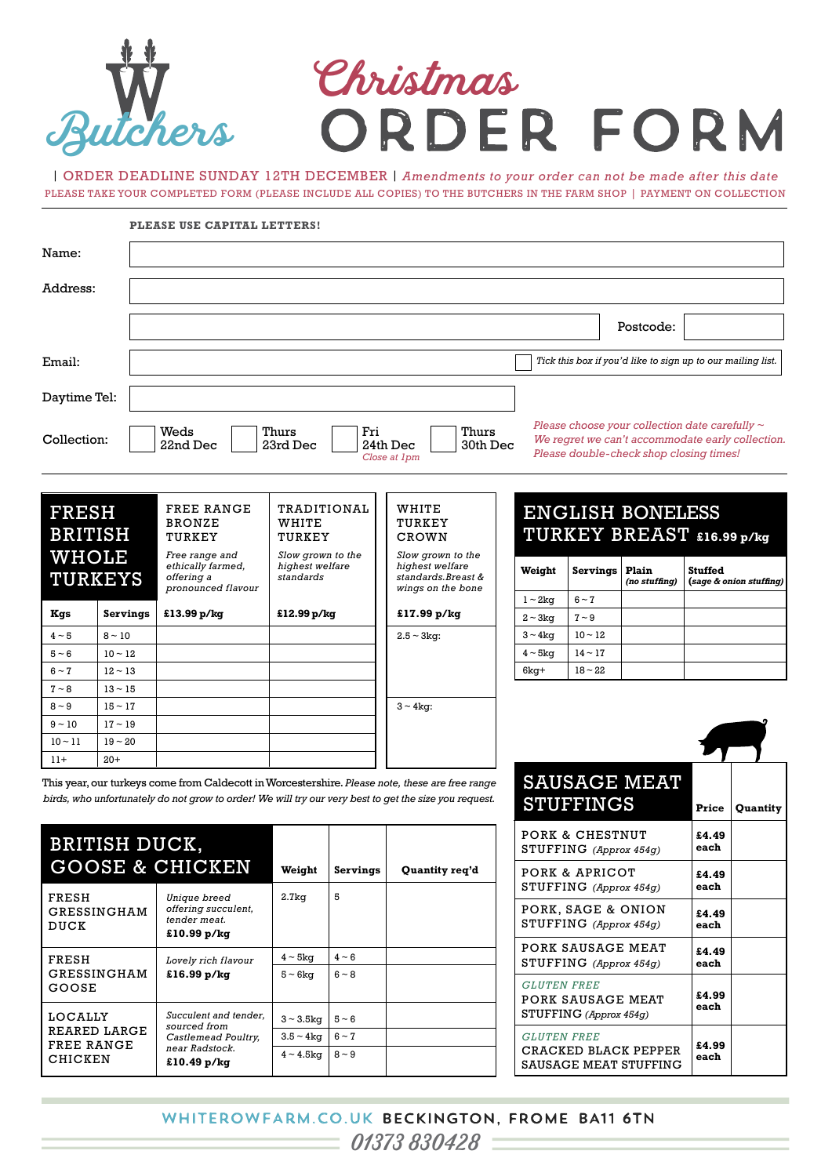# Butchers Christmas

| ORDER DEADLINE SUNDAY 12TH DECEMBER | *Amendments to your order can not be made after this date* PLEASE TAKE YOUR COMPLETED FORM (PLEASE INCLUDE ALL COPIES) TO THE BUTCHERS IN THE FARM SHOP | PAYMENT ON COLLECTION

|                                |                      | PLEASE USE CAPITAL LETTERS!                                             |                                                   |          |                                                                                                                                                                                                          |  |                                              |                                                                           |                                                                                                                                                    |                |                         |
|--------------------------------|----------------------|-------------------------------------------------------------------------|---------------------------------------------------|----------|----------------------------------------------------------------------------------------------------------------------------------------------------------------------------------------------------------|--|----------------------------------------------|---------------------------------------------------------------------------|----------------------------------------------------------------------------------------------------------------------------------------------------|----------------|-------------------------|
| Name:                          |                      |                                                                         |                                                   |          |                                                                                                                                                                                                          |  |                                              |                                                                           |                                                                                                                                                    |                |                         |
| Address:                       |                      |                                                                         |                                                   |          |                                                                                                                                                                                                          |  |                                              |                                                                           |                                                                                                                                                    |                |                         |
|                                |                      |                                                                         |                                                   |          |                                                                                                                                                                                                          |  |                                              |                                                                           | Postcode:                                                                                                                                          |                |                         |
| Email:                         |                      |                                                                         |                                                   |          |                                                                                                                                                                                                          |  |                                              |                                                                           | Tick this box if you'd like to sign up to our mailing list.                                                                                        |                |                         |
| Daytime Tel:                   |                      |                                                                         |                                                   |          |                                                                                                                                                                                                          |  |                                              |                                                                           |                                                                                                                                                    |                |                         |
| Collection:                    |                      | Weds<br>22nd Dec                                                        | Thurs<br>23rd Dec                                 | Fri      | Thurs<br>24th Dec<br>30th Dec<br>Close at 1pm                                                                                                                                                            |  |                                              |                                                                           | Please choose your collection date carefully $\sim$<br>We regret we can't accommodate early collection.<br>Please double-check shop closing times! |                |                         |
| <b>FRESH</b><br><b>BRITISH</b> |                      | <b>FREE RANGE</b><br><b>BRONZE</b><br>TURKEY                            | <b>TRADITIONAL</b><br>WHITE<br>TURKEY             |          | WHITE<br>TURKEY<br>CROWN<br>Slow grown to the                                                                                                                                                            |  |                                              |                                                                           | <b>ENGLISH BONELESS</b><br>TURKEY BREAST £16.99 p/kg                                                                                               |                |                         |
| <b>WHOLE</b><br><b>TURKEYS</b> |                      | Free range and<br>ethically farmed,<br>offering a<br>pronounced flavour | Slow grown to the<br>highest welfare<br>standards |          | highest welfare<br>standards.Breast &<br>wings on the bone                                                                                                                                               |  | Weight                                       | Servings                                                                  | Plain<br>(no stuffing)                                                                                                                             | <b>Stuffed</b> | (sage & onion stuffing) |
|                                |                      | £13.99 p/kg                                                             | £12.99 p/kg                                       |          | £17.99 p/kg                                                                                                                                                                                              |  | $1 \sim 2 \text{kg}$                         | $6 - 7$                                                                   |                                                                                                                                                    |                |                         |
| Kgs<br>$4 \sim 5$              | Servings<br>$8 - 10$ |                                                                         |                                                   |          | $2.5 - 3kg$ :                                                                                                                                                                                            |  | $2 \sim 3 \text{kg}$<br>$3 \sim 4 \text{kg}$ | $7 - 9$<br>$10 - 12$                                                      |                                                                                                                                                    |                |                         |
| $5 - 6$                        | $10 - 12$            |                                                                         |                                                   |          |                                                                                                                                                                                                          |  | $4 \sim 5 \text{kg}$                         | $14 - 17$                                                                 |                                                                                                                                                    |                |                         |
| $6 - 7$                        | $12 - 13$            |                                                                         |                                                   |          |                                                                                                                                                                                                          |  | 6kg+                                         | $18 - 22$                                                                 |                                                                                                                                                    |                |                         |
| $7 - 8$                        | $13 - 15$            |                                                                         |                                                   |          |                                                                                                                                                                                                          |  |                                              |                                                                           |                                                                                                                                                    |                |                         |
| $8 - 9$                        | $15 - 17$            |                                                                         |                                                   |          | $3 \sim 4$ kg:                                                                                                                                                                                           |  |                                              |                                                                           |                                                                                                                                                    |                |                         |
| $9 - 10$                       | $17 - 19$            |                                                                         |                                                   |          |                                                                                                                                                                                                          |  |                                              |                                                                           |                                                                                                                                                    |                |                         |
| $10 - 11$                      | $19 - 20$            |                                                                         |                                                   |          |                                                                                                                                                                                                          |  |                                              |                                                                           |                                                                                                                                                    |                |                         |
| $11+$                          | $20+$                |                                                                         |                                                   |          |                                                                                                                                                                                                          |  |                                              |                                                                           |                                                                                                                                                    |                |                         |
|                                |                      |                                                                         |                                                   |          | This year, our turkeys come from Caldecott in Worcestershire. Please note, these are free range<br>birds, who unfortunately do not grow to order! We will try our very best to get the size you request. |  |                                              | <b>STUFFINGS</b>                                                          | <b>SAUSAGE MEAT</b>                                                                                                                                | Price          | Quantity                |
|                                | BRITISH DUCK,        |                                                                         |                                                   |          |                                                                                                                                                                                                          |  |                                              | PORK & CHESTNUT<br>STUFFING (Approx 454g)                                 |                                                                                                                                                    | £4.49<br>each  |                         |
|                                |                      | <b>GOOSE &amp; CHICKEN</b>                                              | Weight                                            | Servings | Quantity req'd                                                                                                                                                                                           |  |                                              | PORK & APRICOT                                                            |                                                                                                                                                    | £4.49          |                         |
| FRESH                          | GRESSINGHAM          | Unique breed<br>offering succulent,<br>tender meat.                     | 2.7kg                                             | 5        |                                                                                                                                                                                                          |  |                                              | STUFFING (Approx 454g)<br>PORK, SAGE & ONION<br>STUFFING (Approx $454g$ ) |                                                                                                                                                    | each<br>£4.49  |                         |
| DUCK                           |                      | £10.99 p/kg                                                             |                                                   |          |                                                                                                                                                                                                          |  |                                              |                                                                           |                                                                                                                                                    | each           |                         |
| FRESH                          |                      | Lovely rich flavour                                                     | $4 \sim 5$ kg                                     | $4 - 6$  |                                                                                                                                                                                                          |  |                                              | PORK SAUSAGE MEAT<br>STUFFING (Approx 454g)                               |                                                                                                                                                    | £4.49<br>each  |                         |
| GOOSE                          | GRESSINGHAM          | £16.99 p/kg                                                             | $5 - 6kq$                                         | $6 - 8$  |                                                                                                                                                                                                          |  | <b>GLUTEN FREE</b>                           | PORK SAUSAGE MEAT                                                         |                                                                                                                                                    | £4.99          |                         |
|                                |                      |                                                                         |                                                   |          |                                                                                                                                                                                                          |  |                                              |                                                                           |                                                                                                                                                    |                |                         |

**each £4.99 each** STUFFING *(Approx 454g) GLUTEN FREE* CRACKED BLACK PEPPER SAUSAGE MEAT STUFFING

 $3 - 3.5$ kg  $5 - 6$  $3.5 \sim 4 \text{kg}$   $6 \sim 7$  $4 - 4.5$ kg  $8 - 9$ 

*Succulent and tender, sourced from Castlemead Poultry, near Radstock.* **£10.49 p/kg**

LOCALLY REARED LARGE FREE RANGE CHICKEN